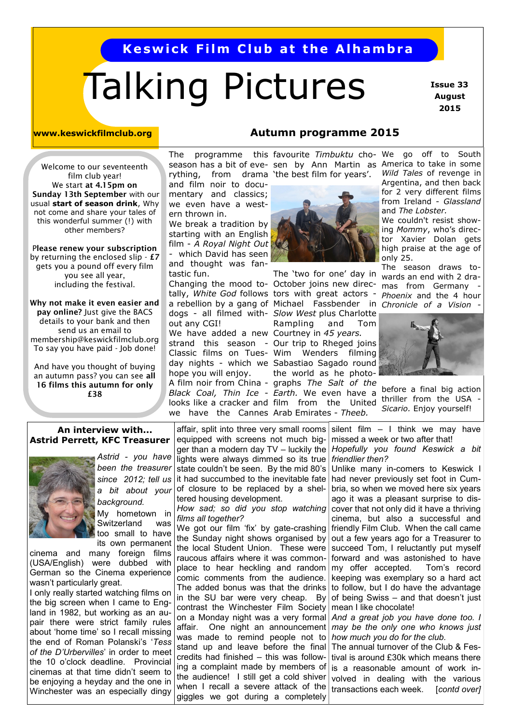# **Keswick Film Club at the Alhambra**

# Talking Pictures

 **Issue 33 August 2015**

#### **www.keswickfilmclub.org**

**Autumn programme 2015**

Welcome to our seventeenth film club year! We start **at 4.15pm on Sunday 13th September** with our usual **start of season drink**, Why not come and share your tales of this wonderful summer (!) with other members?

P**lease renew your subscription**  by returning the enclosed slip - **£7** gets you a pound off every film you see all year, including the festival.

**Why not make it even easier and pay online?** Just give the BACS details to your bank and then send us an email to membership@keswickfilmclub.org To say you have paid - Job done!

And have you thought of buying an autumn pass? you can see **all 16 films this autumn for only £38**

# rything, from drama 'the best film for years'.

and film noir to documentary and classics; we even have a western thrown in.

We break a tradition by starting with an English film - *A Royal Night Out -* which David has seen

and thought was fantastic fun.

out any CGI!

We have added a new Courtney in 45 years. we have the Cannes Arab Emirates - Theeb. Classic films on Tueshope you will enjoy.

The programme this-favourite-*Timbuktu* cho- We go off to South season has a bit of eve- sen by Ann Martin as America to take in some



a rebellion by a gang of Michael Fassbender in Chronicle of a Vision -The 'two for one' day in Changing the mood to- October joins new directally, *White God* follows tors with great actors dogs - all filmed with- Slow West plus Charlotte Rampling and Tom strand this season - Our trip to Rheged joins Wenders filming day nights - which we Sabastiao Sagado round the world as he photo-A film noir from China - graphs The Salt of the Black Coal, Thin Ice - Earth. We even have a looks like a cracker and film from the United

*Wild Tales* of revenge in Argentina, and then back for 2 very different films from Ireland - *Glassland* and *The Lobster.*

We couldn't resist showing *Mommy*, who's director Xavier Dolan gets high praise at the age of only 25.

The season draws towards an end with 2 dramas from Germany *Phoenix* and the 4 hour



before a final big action thriller from the USA *Sicario.* Enjoy yourself!

#### **An interview with... Astrid Perrett, KFC Treasurer**



*Astrid - you have been the treasurer since 2012; tell us a bit about your background.*

My hometown in Switzerland was too small to have

its own permanent cinema and many foreign films (USA/English) were dubbed with German so the Cinema experience wasn't particularly great.

I only really started watching films on the big screen when I came to England in 1982, but working as an aupair there were strict family rules about 'home time' so I recall missing the end of Roman Polanski's '*Tess of the D'Urbervilles*' in order to meet the 10 o'clock deadline. Provincial cinemas at that time didn't seem to be enjoying a heyday and the one in Winchester was an especially dingy

affair, split into three very small rooms equipped with screens not much bigger than a modern day  $TV$  – luckily the lights were always dimmed so its true state couldn't be seen. By the mid 80's it had succumbed to the inevitable fate of closure to be replaced by a sheltered housing development.

*How sad; so did you stop watching films all together?*

We got our film 'fix' by gate-crashing the Sunday night shows organised by the local Student Union. These were raucous affairs where it was commonplace to hear heckling and random comic comments from the audience. The added bonus was that the drinks in the SU bar were very cheap. By contrast the Winchester Film Society on a Monday night was a very formal affair. One night an announcement was made to remind people not to stand up and leave before the final credits had finished – this was following a complaint made by members of the audience! I still get a cold shiver when I recall a severe attack of the transactions each week. [*contd over*] giggles we got during a completely

silent film  $-$  I think we may have missed a week or two after that! *Hopefully you found Keswick a bit friendlier then?*

Unlike many in-comers to Keswick I had never previously set foot in Cumbria, so when we moved here six years ago it was a pleasant surprise to discover that not only did it have a thriving cinema, but also a successful and friendly Film Club. When the call came out a few years ago for a Treasurer to succeed Tom, I reluctantly put myself forward and was astonished to have my offer accepted. Tom's record keeping was exemplary so a hard act to follow, but I do have the advantage of being Swiss – and that doesn't just mean I like chocolate!

*And a great job you have done too. I may be the only one who knows just how much you do for the club.*

The annual turnover of the Club & Festival is around £30k which means there is a reasonable amount of work involved in dealing with the various